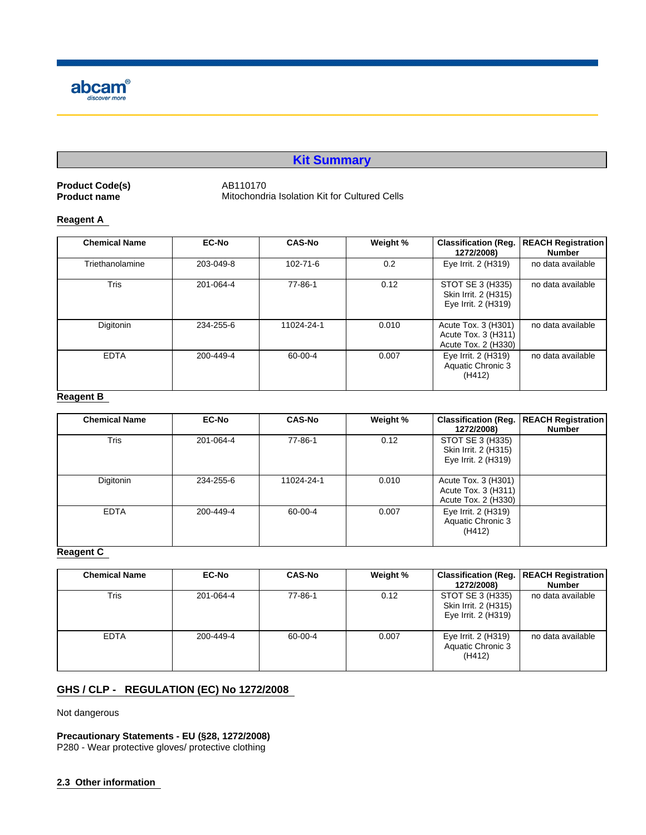

# **Kit Summary**

**Product Code(s)** AB110170<br> **Product name** Mitochondr

**Mitochondria Isolation Kit for Cultured Cells** 

# **Reagent A**

| <b>Chemical Name</b> | <b>EC-No</b> | <b>CAS-No</b> | Weight % | <b>Classification (Reg.</b><br>1272/2008)                         | <b>REACH Registration</b><br>Number |
|----------------------|--------------|---------------|----------|-------------------------------------------------------------------|-------------------------------------|
| Triethanolamine      | 203-049-8    | 102-71-6      | 0.2      | Eye Irrit. 2 (H319)                                               | no data available                   |
| <b>Tris</b>          | 201-064-4    | 77-86-1       | 0.12     | STOT SE 3 (H335)<br>Skin Irrit. 2 (H315)<br>Eye Irrit. 2 (H319)   | no data available                   |
| Digitonin            | 234-255-6    | 11024-24-1    | 0.010    | Acute Tox. 3 (H301)<br>Acute Tox. 3 (H311)<br>Acute Tox. 2 (H330) | no data available                   |
| <b>EDTA</b>          | 200-449-4    | 60-00-4       | 0.007    | Eye Irrit. 2 (H319)<br>Aquatic Chronic 3<br>(H412)                | no data available                   |

# **Reagent B**

| <b>Chemical Name</b> | <b>EC-No</b> | <b>CAS-No</b> | Weight % | <b>Classification (Reg.</b><br>1272/2008)                         | <b>REACH Registration</b><br>Number |
|----------------------|--------------|---------------|----------|-------------------------------------------------------------------|-------------------------------------|
| <b>Tris</b>          | 201-064-4    | 77-86-1       | 0.12     | STOT SE 3 (H335)<br>Skin Irrit. 2 (H315)<br>Eye Irrit. 2 (H319)   |                                     |
| Digitonin            | 234-255-6    | 11024-24-1    | 0.010    | Acute Tox. 3 (H301)<br>Acute Tox. 3 (H311)<br>Acute Tox. 2 (H330) |                                     |
| <b>EDTA</b>          | 200-449-4    | 60-00-4       | 0.007    | Eye Irrit. 2 (H319)<br>Aquatic Chronic 3<br>(H412)                |                                     |

# **Reagent C**

| <b>Chemical Name</b> | <b>EC-No</b> | <b>CAS-No</b> | Weight % | 1272/2008)                                                      | <b>Classification (Reg.   REACH Registration  </b><br><b>Number</b> |
|----------------------|--------------|---------------|----------|-----------------------------------------------------------------|---------------------------------------------------------------------|
| Tris                 | 201-064-4    | 77-86-1       | 0.12     | STOT SE 3 (H335)<br>Skin Irrit. 2 (H315)<br>Eye Irrit. 2 (H319) | no data available                                                   |
| <b>EDTA</b>          | 200-449-4    | 60-00-4       | 0.007    | Eye Irrit. 2 (H319)<br>Aquatic Chronic 3<br>(H412)              | no data available                                                   |

# **GHS / CLP - REGULATION (EC) No 1272/2008**

Not dangerous

**Precautionary Statements - EU (§28, 1272/2008)** P280 - Wear protective gloves/ protective clothing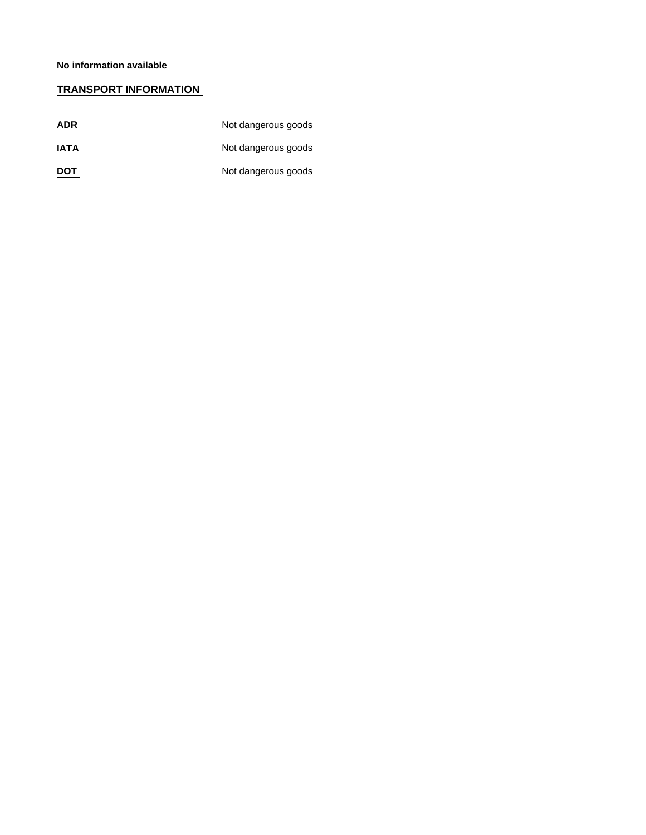# **TRANSPORT INFORMATION**

| <b>ADR</b>  | Not dangerous goods |
|-------------|---------------------|
| <b>IATA</b> | Not dangerous goods |
| <b>DOT</b>  | Not dangerous goods |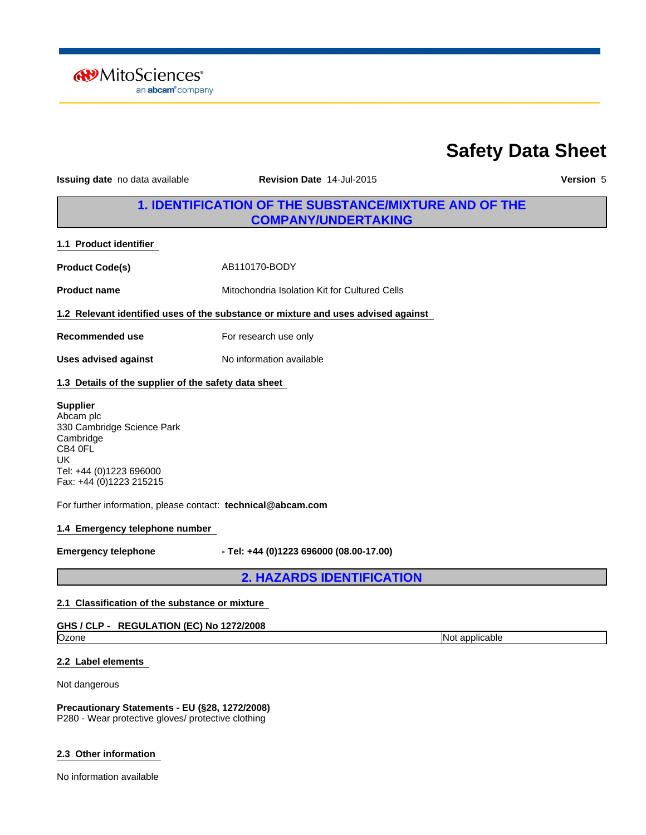**RV** MitoSciences<sup>®</sup> an **abcam**<sup>®</sup> company

# **Safety Data Sheet**

**Issuing date** no data available **Revision Date** 14-Jul-2015 **Version** 5

# **1. IDENTIFICATION OF THE SUBSTANCE/MIXTURE AND OF THE COMPANY/UNDERTAKING**

**1.1 Product identifier** 

**Product Code(s)** AB110170-BODY

**Product name** Mitochondria Isolation Kit for Cultured Cells

**1.2 Relevant identified uses of the substance or mixture and uses advised against** 

No information available

**Recommended use** For research use only

**Uses advised against**

# **1.3 Details of the supplier of the safety data sheet**

## **Supplier**

Abcam plc 330 Cambridge Science Park Cambridge CB4 0FL UK Tel: +44 (0)1223 696000 Fax: +44 (0)1223 215215

For further information, please contact: **technical@abcam.com**

## **1.4 Emergency telephone number**

**Emergency telephone - Tel: +44 (0)1223 696000 (08.00-17.00)**

**2. HAZARDS IDENTIFICATION**

## **2.1 Classification of the substance or mixture**

# **GHS / CLP - REGULATION (EC) No 1272/2008**

Ozone **Not applicable** Not applicable **Not applicable** 

## **2.2 Label elements**

Not dangerous

**Precautionary Statements - EU (§28, 1272/2008)** P280 - Wear protective gloves/ protective clothing

## **2.3 Other information**

No information available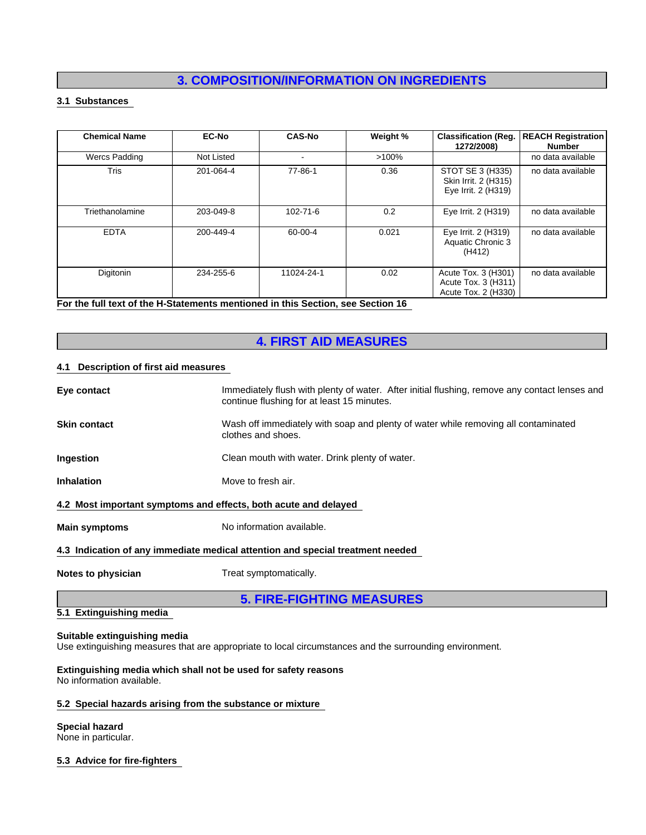# **3. COMPOSITION/INFORMATION ON INGREDIENTS**

# **3.1 Substances**

| <b>Chemical Name</b> | <b>EC-No</b> | <b>CAS-No</b>  | Weight % | <b>Classification (Reg.</b><br>1272/2008)                         | <b>REACH Registration</b><br>Number |
|----------------------|--------------|----------------|----------|-------------------------------------------------------------------|-------------------------------------|
| <b>Wercs Padding</b> | Not Listed   | $\blacksquare$ | $>100\%$ |                                                                   | no data available                   |
| <b>Tris</b>          | 201-064-4    | 77-86-1        | 0.36     | STOT SE 3 (H335)<br>Skin Irrit. 2 (H315)<br>Eye Irrit. 2 (H319)   | no data available                   |
| Triethanolamine      | 203-049-8    | $102 - 71 - 6$ | 0.2      | Eye Irrit. 2 (H319)                                               | no data available                   |
| <b>EDTA</b>          | 200-449-4    | 60-00-4        | 0.021    | Eye Irrit. 2 (H319)<br>Aquatic Chronic 3<br>(H412)                | no data available                   |
| Digitonin            | 234-255-6    | 11024-24-1     | 0.02     | Acute Tox. 3 (H301)<br>Acute Tox. 3 (H311)<br>Acute Tox. 2 (H330) | no data available                   |

**For the full text of the H-Statements mentioned in this Section, see Section 16** 

# **4. FIRST AID MEASURES**

# **4.1 Description of first aid measures**

| Eye contact                                                     | Immediately flush with plenty of water. After initial flushing, remove any contact lenses and<br>continue flushing for at least 15 minutes. |
|-----------------------------------------------------------------|---------------------------------------------------------------------------------------------------------------------------------------------|
| <b>Skin contact</b>                                             | Wash off immediately with soap and plenty of water while removing all contaminated<br>clothes and shoes.                                    |
| Ingestion                                                       | Clean mouth with water. Drink plenty of water.                                                                                              |
| <b>Inhalation</b>                                               | Move to fresh air.                                                                                                                          |
| 4.2 Most important symptoms and effects, both acute and delayed |                                                                                                                                             |
| <b>Main symptoms</b>                                            | No information available.                                                                                                                   |
|                                                                 | 4.3 Indication of any immediate medical attention and special treatment needed                                                              |
| Notes to physician                                              | Treat symptomatically.                                                                                                                      |
|                                                                 | <b>5. FIRE-FIGHTING MEASURES</b>                                                                                                            |

# **5.1 Extinguishing media**

# **Suitable extinguishing media**

Use extinguishing measures that are appropriate to local circumstances and the surrounding environment.

#### **Extinguishing media which shall not be used for safety reasons** No information available.

# **5.2 Special hazards arising from the substance or mixture**

## **Special hazard**

None in particular.

# **5.3 Advice for fire-fighters**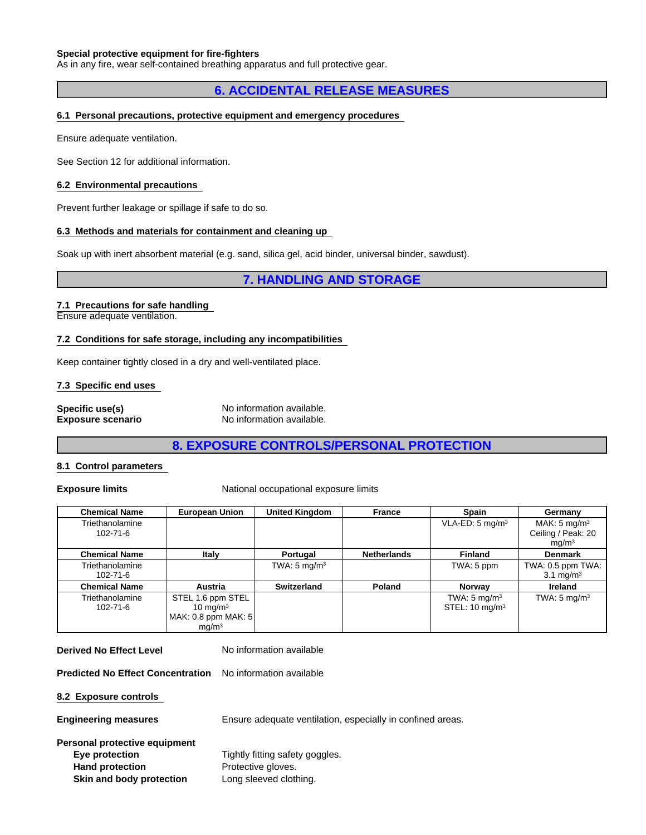#### **Special protective equipment for fire-fighters**

As in any fire, wear self-contained breathing apparatus and full protective gear.

# **6. ACCIDENTAL RELEASE MEASURES**

#### **6.1 Personal precautions, protective equipment and emergency procedures**

Ensure adequate ventilation.

See Section 12 for additional information.

#### **6.2 Environmental precautions**

Prevent further leakage or spillage if safe to do so.

#### **6.3 Methods and materials for containment and cleaning up**

Soak up with inert absorbent material (e.g. sand, silica gel, acid binder, universal binder, sawdust).

# **7. HANDLING AND STORAGE**

#### **7.1 Precautions for safe handling**

Ensure adequate ventilation.

#### **7.2 Conditions for safe storage, including any incompatibilities**

Keep container tightly closed in a dry and well-ventilated place.

#### **7.3 Specific end uses**

| Specific use(s)          | No information available. |
|--------------------------|---------------------------|
| <b>Exposure scenario</b> | No information available. |

# **8. EXPOSURE CONTROLS/PERSONAL PROTECTION**

#### **8.1 Control parameters**

**Exposure limits** National occupational exposure limits

| <b>Chemical Name</b> | <b>European Union</b> | <b>United Kingdom</b>   | <b>France</b>      | Spain                      | Germany                 |
|----------------------|-----------------------|-------------------------|--------------------|----------------------------|-------------------------|
| Triethanolamine      |                       |                         |                    | VLA-ED: $5 \text{ mg/m}^3$ | MAK: $5 \text{ mg/m}^3$ |
| $102 - 71 - 6$       |                       |                         |                    |                            | Ceiling / Peak: 20      |
|                      |                       |                         |                    |                            | mg/m <sup>3</sup>       |
| <b>Chemical Name</b> | Italy                 | Portugal                | <b>Netherlands</b> | <b>Finland</b>             | <b>Denmark</b>          |
| Triethanolamine      |                       | TWA: $5 \text{ mg/m}^3$ |                    | TWA: 5 ppm                 | TWA: 0.5 ppm TWA:       |
| $102 - 71 - 6$       |                       |                         |                    |                            | 3.1 mg/m <sup>3</sup>   |
| <b>Chemical Name</b> | Austria               | Switzerland             | Poland             | <b>Norway</b>              | Ireland                 |
| Triethanolamine      | STEL 1.6 ppm STEL     |                         |                    | TWA: $5 \text{ mg/m}^3$    | TWA: $5 \text{ mg/m}^3$ |
| 102-71-6             | 10 mg/m $3$           |                         |                    | STEL: $10 \text{ mg/m}^3$  |                         |
|                      | MAK: 0.8 ppm MAK: $5$ |                         |                    |                            |                         |
|                      | mq/m <sup>3</sup>     |                         |                    |                            |                         |

**Derived No Effect Level** No information available

fitting safety goggles.

**Predicted No Effect Concentration** No information available

**8.2 Exposure controls** 

**Engineering measures** Ensure adequate ventilation, especially in confined areas.

| Personal protective equipment |                           |
|-------------------------------|---------------------------|
| Eye protection                | Tightly fitting safety go |
| <b>Hand protection</b>        | Protective gloves.        |
| Skin and body protection      | Long sleeved clothing.    |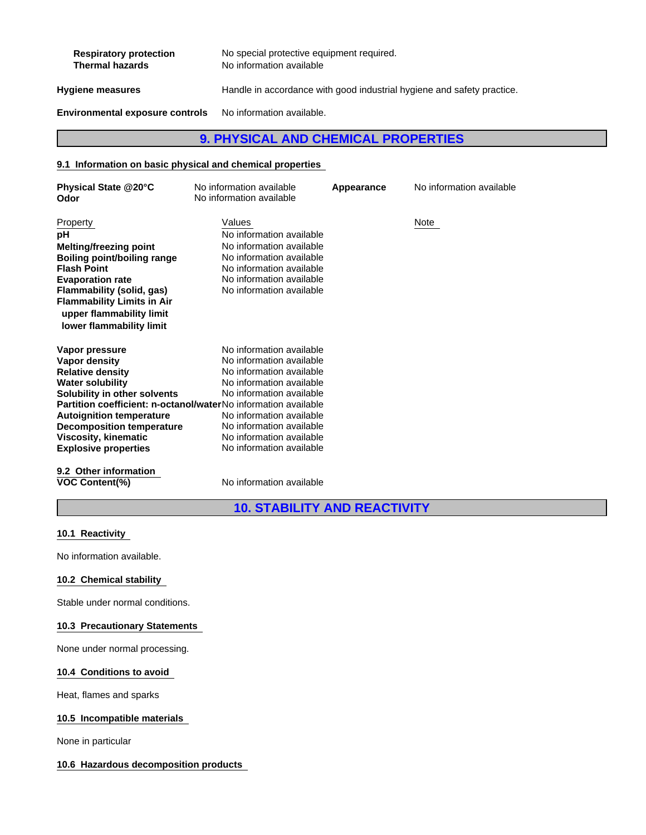| <b>Respiratory protection</b><br><b>Thermal hazards</b> | No special protective equipment required.<br>No information available  |
|---------------------------------------------------------|------------------------------------------------------------------------|
| Hygiene measures                                        | Handle in accordance with good industrial hygiene and safety practice. |
| <b>Environmental exposure controls</b>                  | No information available.                                              |

# **9. PHYSICAL AND CHEMICAL PROPERTIES**

# **9.1 Information on basic physical and chemical properties**

| Physical State @20°C<br>Odor                                                                                                                                                                                                                                                                                                 | No information available<br>No information available                                                                                                                                                                                                     | Appearance | No information available |
|------------------------------------------------------------------------------------------------------------------------------------------------------------------------------------------------------------------------------------------------------------------------------------------------------------------------------|----------------------------------------------------------------------------------------------------------------------------------------------------------------------------------------------------------------------------------------------------------|------------|--------------------------|
| Property<br>рH<br><b>Melting/freezing point</b><br><b>Boiling point/boiling range</b><br><b>Flash Point</b><br><b>Evaporation rate</b><br>Flammability (solid, gas)<br><b>Flammability Limits in Air</b><br>upper flammability limit<br>lower flammability limit                                                             | Values<br>No information available<br>No information available<br>No information available<br>No information available<br>No information available<br>No information available                                                                           |            | Note                     |
| Vapor pressure<br>Vapor density<br><b>Relative density</b><br><b>Water solubility</b><br>Solubility in other solvents<br>Partition coefficient: n-octanol/waterNo information available<br><b>Autoignition temperature</b><br><b>Decomposition temperature</b><br><b>Viscosity, kinematic</b><br><b>Explosive properties</b> | No information available<br>No information available<br>No information available<br>No information available<br>No information available<br>No information available<br>No information available<br>No information available<br>No information available |            |                          |
| 9.2 Other information                                                                                                                                                                                                                                                                                                        |                                                                                                                                                                                                                                                          |            |                          |

**VOC Content(%)** No information available

**10. STABILITY AND REACTIVITY**

# **10.1 Reactivity**

No information available.

# **10.2 Chemical stability**

Stable under normal conditions.

# **10.3 Precautionary Statements**

None under normal processing.

# **10.4 Conditions to avoid**

Heat, flames and sparks

# **10.5 Incompatible materials**

None in particular

# **10.6 Hazardous decomposition products**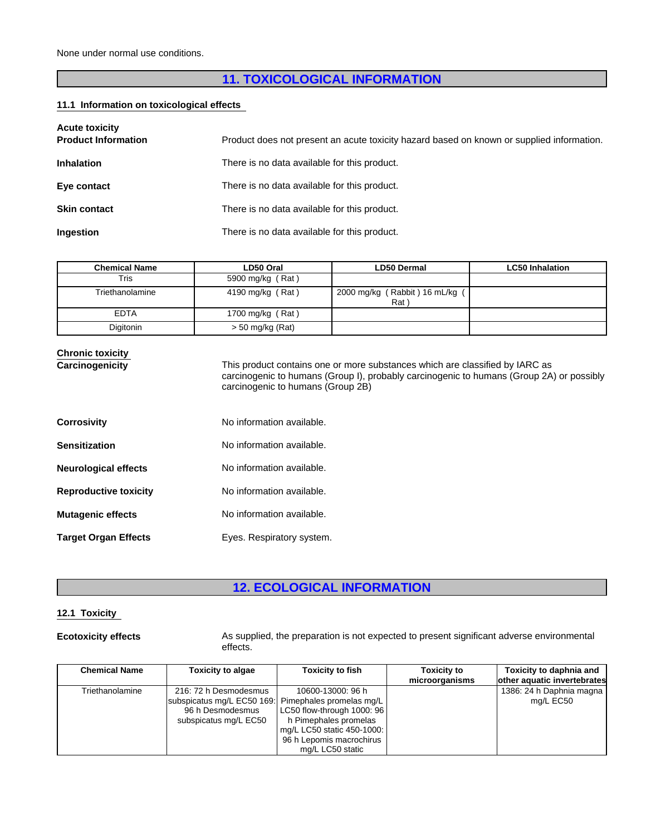# **11. TOXICOLOGICAL INFORMATION**

# **11.1 Information on toxicological effects**

| <b>Acute toxicity</b><br><b>Product Information</b> | Product does not present an acute toxicity hazard based on known or supplied information. |
|-----------------------------------------------------|-------------------------------------------------------------------------------------------|
| <b>Inhalation</b>                                   | There is no data available for this product.                                              |
| Eye contact                                         | There is no data available for this product.                                              |
| <b>Skin contact</b>                                 | There is no data available for this product.                                              |
| Ingestion                                           | There is no data available for this product.                                              |

| Chemical Name   | LD50 Oral          | <b>LD50 Dermal</b>                    | <b>LC50 Inhalation</b> |
|-----------------|--------------------|---------------------------------------|------------------------|
| Tris            | 5900 mg/kg (Rat)   |                                       |                        |
| Triethanolamine | 4190 mg/kg (Rat)   | 2000 mg/kg (Rabbit) 16 mL/kg (<br>Rat |                        |
| <b>EDTA</b>     | 1700 mg/kg (Rat)   |                                       |                        |
| Digitonin       | $> 50$ mg/kg (Rat) |                                       |                        |

# **Chronic toxicity**

**Carcinogenicity** This product contains one or more substances which are classified by IARC as carcinogenic to humans (Group I), probably carcinogenic to humans (Group 2A) or possibly carcinogenic to humans (Group 2B)

| <b>Corrosivity</b>           | No information available. |
|------------------------------|---------------------------|
| Sensitization                | No information available. |
| <b>Neurological effects</b>  | No information available. |
| <b>Reproductive toxicity</b> | No information available. |
| <b>Mutagenic effects</b>     | No information available. |
| <b>Target Organ Effects</b>  | Eyes. Respiratory system. |

# **12. ECOLOGICAL INFORMATION**

## **12.1 Toxicity**

**Ecotoxicity effects** As supplied, the preparation is not expected to present significant adverse environmental effects.

| <b>Chemical Name</b> | <b>Toxicity to algae</b>                                                                                                  | <b>Toxicity to fish</b>                                                                                                                                | <b>Toxicity to</b><br>microorganisms | Toxicity to daphnia and<br>other aquatic invertebrates |
|----------------------|---------------------------------------------------------------------------------------------------------------------------|--------------------------------------------------------------------------------------------------------------------------------------------------------|--------------------------------------|--------------------------------------------------------|
| Triethanolamine      | 216: 72 h Desmodesmus<br>subspicatus mg/L EC50 169: Pimephales promelas mg/L<br>96 h Desmodesmus<br>subspicatus mg/L EC50 | 10600-13000: 96 h<br>LC50 flow-through 1000: 96<br>h Pimephales promelas<br>mg/L LC50 static 450-1000:<br>96 h Lepomis macrochirus<br>mg/L LC50 static |                                      | 1386: 24 h Daphnia magna<br>mg/L EC50                  |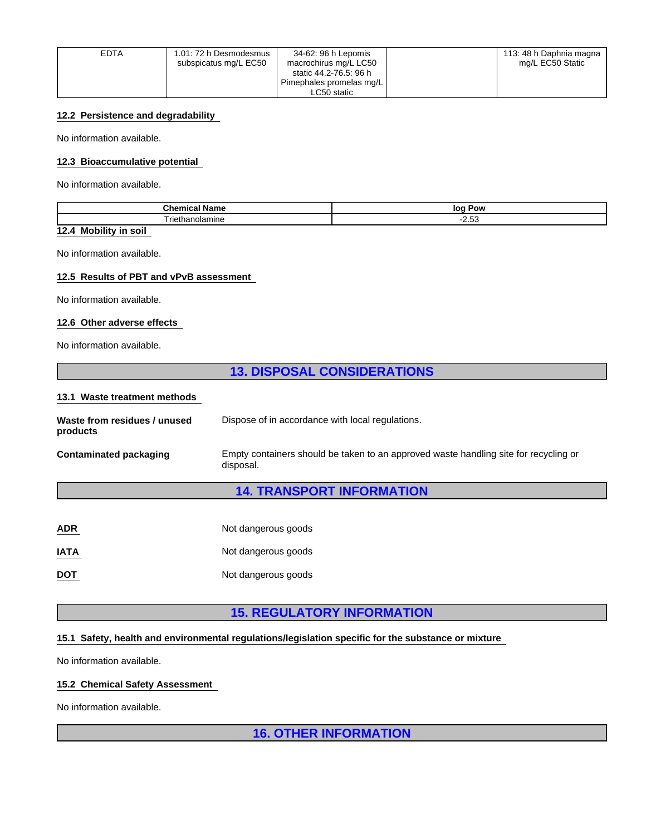| EDTA | 1.01: 72 h Desmodesmus<br>subspicatus mg/L EC50 | 34-62: 96 h Lepomis<br>macrochirus mg/L LC50       | 113: 48 h Daphnia magna<br>mg/L EC50 Static |  |
|------|-------------------------------------------------|----------------------------------------------------|---------------------------------------------|--|
|      |                                                 | static 44.2-76.5: 96 h<br>Pimephales promelas mg/L |                                             |  |
|      |                                                 | ∟C50 static                                        |                                             |  |

# **12.2 Persistence and degradability**

No information available.

# **12.3 Bioaccumulative potential**

No information available.

| Chemical Name<br>' name       | log Pow<br>--                   |  |  |
|-------------------------------|---------------------------------|--|--|
| - -<br>nanolamın<br>rieth<br> | $\overline{\phantom{a}}$<br>ں.ے |  |  |
|                               |                                 |  |  |

# **12.4 Mobility in soil**

No information available.

# **12.5 Results of PBT and vPvB assessment**

No information available.

## **12.6 Other adverse effects**

No information available.

# **13. DISPOSAL CONSIDERATIONS**

#### **13.1 Waste treatment methods**

| Waste from residues / unused<br>products | Dispose of in accordance with local regulations.                                                  |  |  |  |  |
|------------------------------------------|---------------------------------------------------------------------------------------------------|--|--|--|--|
| <b>Contaminated packaging</b>            | Empty containers should be taken to an approved waste handling site for recycling or<br>disposal. |  |  |  |  |
| <b>14. TRANSPORT INFORMATION</b>         |                                                                                                   |  |  |  |  |
| <b>ADR</b>                               | Not dangerous goods                                                                               |  |  |  |  |
| <b>IATA</b>                              | Not dangerous goods                                                                               |  |  |  |  |

# **DOT** Not dangerous goods

# **15. REGULATORY INFORMATION**

# **15.1 Safety, health and environmental regulations/legislation specific for the substance or mixture**

No information available.

# **15.2 Chemical Safety Assessment**

No information available.

**16. OTHER INFORMATION**